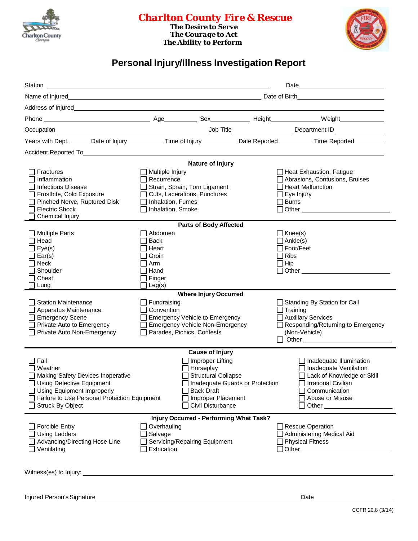

## *Charlton County Fire & Rescue*

*The Desire to Serve The Courage to Act The Ability to Perform*



## **Personal Injury/Illness Investigation Report**

| Occupation_                                                                                                                                                                                |                                                                             |                                                                                                                                                                              |  |                                                                                                                                                                                  |  |  |
|--------------------------------------------------------------------------------------------------------------------------------------------------------------------------------------------|-----------------------------------------------------------------------------|------------------------------------------------------------------------------------------------------------------------------------------------------------------------------|--|----------------------------------------------------------------------------------------------------------------------------------------------------------------------------------|--|--|
| Years with Dept. ______ Date of Injury____________ Time of Injury___________ Date Reported__________ Time Reported_________                                                                |                                                                             |                                                                                                                                                                              |  |                                                                                                                                                                                  |  |  |
|                                                                                                                                                                                            |                                                                             |                                                                                                                                                                              |  |                                                                                                                                                                                  |  |  |
| Nature of Injury                                                                                                                                                                           |                                                                             |                                                                                                                                                                              |  |                                                                                                                                                                                  |  |  |
| Fractures<br>Inflammation<br><b>Infectious Disease</b><br>Frostbite, Cold Exposure<br>Pinched Nerve, Ruptured Disk<br><b>Electric Shock</b><br>Chemical Injury                             | Multiple Injury<br>Recurrence<br>Inhalation, Fumes<br>□ Inhalation, Smoke   | Strain, Sprain, Torn Ligament<br>Cuts, Lacerations, Punctures                                                                                                                |  | $\Box$ Heat Exhaustion, Fatigue<br>Abrasions, Contusions, Bruises<br>□ Heart Malfunction<br>$\Box$ Eye Injury<br>$\square$ Burns                                                 |  |  |
| <b>Parts of Body Affected</b>                                                                                                                                                              |                                                                             |                                                                                                                                                                              |  |                                                                                                                                                                                  |  |  |
| <b>Multiple Parts</b><br>Head<br>Eye(s)<br>Ear(s)<br><b>Neck</b><br>Shoulder<br>Chest<br>Lung                                                                                              | Abdomen<br><b>Back</b><br>Heart<br>Groin<br>Arm<br>Hand<br>Finger<br>Leg(s) |                                                                                                                                                                              |  | $\Box$ Knee(s)<br>$\Box$ Ankle(s)<br>□ Foot/Feet<br>$\exists$ Ribs<br>$\Box$ Hip<br>$\Box$ Other                                                                                 |  |  |
|                                                                                                                                                                                            |                                                                             | <b>Where Injury Occurred</b>                                                                                                                                                 |  |                                                                                                                                                                                  |  |  |
| <b>Station Maintenance</b><br>Apparatus Maintenance<br><b>Emergency Scene</b><br>Private Auto to Emergency<br>Private Auto Non-Emergency                                                   | ∐ Fundraising<br>Convention                                                 | <b>Emergency Vehicle to Emergency</b><br>Emergency Vehicle Non-Emergency<br>Parades, Picnics, Contests                                                                       |  | □ Standing By Station for Call<br>$\Box$ Training<br>□ Auxiliary Services<br>□ Responding/Returning to Emergency<br>(Non-Vehicle)<br>$\Box$ Other $\_\_$                         |  |  |
| <b>Cause of Injury</b>                                                                                                                                                                     |                                                                             |                                                                                                                                                                              |  |                                                                                                                                                                                  |  |  |
| Fall<br>Weather<br>Making Safety Devices Inoperative<br>Using Defective Equipment<br><b>Using Equipment Improperly</b><br>Failure to Use Personal Protection Equipment<br>Struck By Object |                                                                             | $\Box$ Improper Lifting<br>$\Box$ Horseplay<br><b>Structural Collapse</b><br>Inadequate Guards or Protection<br><b>Back Draft</b><br>Improper Placement<br>Civil Disturbance |  | Inadequate Illumination<br>Inadequate Ventilation<br>Lack of Knowledge or Skill<br><b>Irrational Civilian</b><br>Communication<br>Abuse or Misuse<br>Other <sub>__________</sub> |  |  |
| <b>Injury Occurred - Performing What Task?</b>                                                                                                                                             |                                                                             |                                                                                                                                                                              |  |                                                                                                                                                                                  |  |  |
| $\Box$ Forcible Entry<br><b>Using Ladders</b><br>Advancing/Directing Hose Line<br>$\Box$ Ventilating                                                                                       | Overhauling<br>Salvage<br>Extrication                                       | Servicing/Repairing Equipment                                                                                                                                                |  | Rescue Operation<br>Administering Medical Aid<br><b>Physical Fitness</b><br>$\Box$ Other $\Box$                                                                                  |  |  |
| Witness(es) to Injury:                                                                                                                                                                     |                                                                             |                                                                                                                                                                              |  |                                                                                                                                                                                  |  |  |